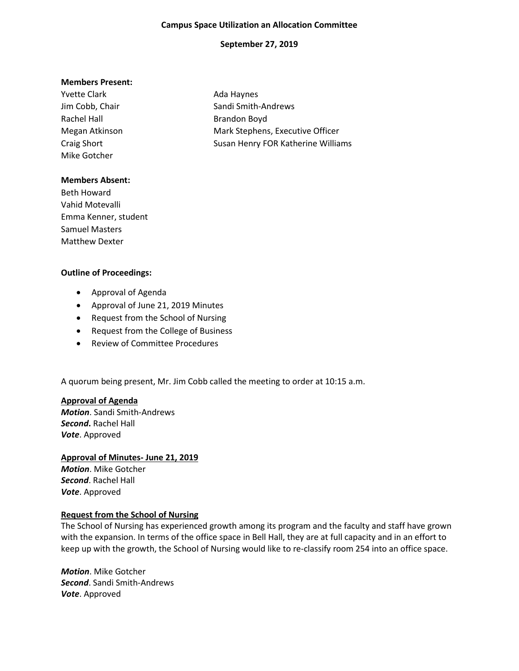#### **Campus Space Utilization an Allocation Committee**

### **September 27, 2019**

#### **Members Present:**

Yvette Clark **Ada Haynes** Ada Haynes Rachel Hall **Brandon Boyd** Mike Gotcher

Jim Cobb, Chair Sandi Smith-Andrews Megan Atkinson Mark Stephens, Executive Officer Craig Short **Susan Henry FOR Katherine Williams** Susan Henry FOR Katherine Williams

#### **Members Absent:**

Beth Howard Vahid Motevalli Emma Kenner, student Samuel Masters Matthew Dexter

## **Outline of Proceedings:**

- Approval of Agenda
- Approval of June 21, 2019 Minutes
- Request from the School of Nursing
- Request from the College of Business
- Review of Committee Procedures

A quorum being present, Mr. Jim Cobb called the meeting to order at 10:15 a.m.

### **Approval of Agenda**

*Motion*. Sandi Smith-Andrews *Second***.** Rachel Hall *Vote*. Approved

# **Approval of Minutes- June 21, 2019**

*Motion*. Mike Gotcher *Second*. Rachel Hall *Vote*. Approved

### **Request from the School of Nursing**

The School of Nursing has experienced growth among its program and the faculty and staff have grown with the expansion. In terms of the office space in Bell Hall, they are at full capacity and in an effort to keep up with the growth, the School of Nursing would like to re-classify room 254 into an office space.

*Motion*. Mike Gotcher *Second*. Sandi Smith-Andrews *Vote*. Approved